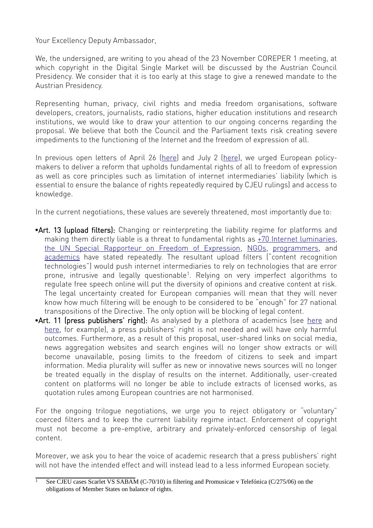Your Excellency Deputy Ambassador,

We, the undersigned, are writing to you ahead of the 23 November COREPER 1 meeting, at which copyright in the Digital Single Market will be discussed by the Austrian Council Presidency. We consider that it is too early at this stage to give a renewed mandate to the Austrian Presidency.

Representing human, privacy, civil rights and media freedom organisations, software developers, creators, journalists, radio stations, higher education institutions and research institutions, we would like to draw your attention to our ongoing concerns regarding the proposal. We believe that both the Council and the Parliament texts risk creating severe impediments to the functioning of the Internet and the freedom of expression of all.

In previous open letters of April 26 ([here\)](http://copybuzz.com/wp-content/uploads/2018/04/Open_Letter_on_Copyright_Reform_27_April_COREPER_Meeting.pdf) and July 2 [\(here\)](http://copybuzz.com/wp-content/uploads/2018/07/Copyright-Open-Letter-on-EP-Plenary-Vote-on-Negotiation-Mandate.pdf), we urged European policymakers to deliver a reform that upholds fundamental rights of all to freedom of expression as well as core principles such as limitation of internet intermediaries' liability (which is essential to ensure the balance of rights repeatedly required by CJEU rulings) and access to knowledge.

In the current negotiations, these values are severely threatened, most importantly due to:

- Art. 13 (upload filters): Changing or reinterpreting the liability regime for platforms and making them directly liable is a threat to fundamental rights as [+70 Internet luminaries,](https://www.eff.org/deeplinks/2018/06/internet-luminaries-ring-alarm-eu-copyright-filtering-proposal) [the UN Special Rapporteur on Freedom of Expression,](https://www.ohchr.org/Documents/Issues/Opinion/Legislation/OL-OTH-41-2018.pdf) [NGOs,](https://www.liberties.eu/en/news/delete-article-thirteen-open-letter/13194) [programmers,](https://savecodeshare.eu/) and [academics](https://papers.ssrn.com/sol3/papers.cfm?abstract_id=3054967) have stated repeatedly. The resultant upload filters ("content recognition technologies") would push internet intermediaries to rely on technologies that are error prone, intrusive and legally questionable<sup>[1](#page-0-0)</sup>. Relying on very imperfect algorithms to regulate free speech online will put the diversity of opinions and creative content at risk. The legal uncertainty created for European companies will mean that they will never know how much filtering will be enough to be considered to be "enough" for 27 national transpositions of the Directive. The only option will be blocking of legal content.
- Art. 11 (press publishers' right): As analysed by a plethora of academics (see [here](https://www.ivir.nl/academics-against-press-publishers-right/) and [here,](https://www.create.ac.uk/wp-content/uploads/2018/06/Academic_Statement_Copyright_Directive_29_06_2018.pdf) for example), a press publishers' right is not needed and will have only harmful outcomes. Furthermore, as a result of this proposal, user-shared links on social media, news aggregation websites and search engines will no longer show extracts or will become unavailable, posing limits to the freedom of citizens to seek and impart information. Media plurality will suffer as new or innovative news sources will no longer be treated equally in the display of results on the internet. Additionally, user-created content on platforms will no longer be able to include extracts of licensed works, as quotation rules among European countries are not harmonised.

For the ongoing trilogue negotiations, we urge you to reject obligatory or "voluntary" coerced filters and to keep the current liability regime intact. Enforcement of copyright must not become a pre-emptive, arbitrary and privately-enforced censorship of legal content.

Moreover, we ask you to hear the voice of academic research that a press publishers' right will not have the intended effect and will instead lead to a less informed European society.

<span id="page-0-0"></span><sup>1</sup> See CJEU cases Scarlet VS SABAM (C-70/10) in filtering and Promusicae v Telefónica (C/275/06) on the obligations of Member States on balance of rights.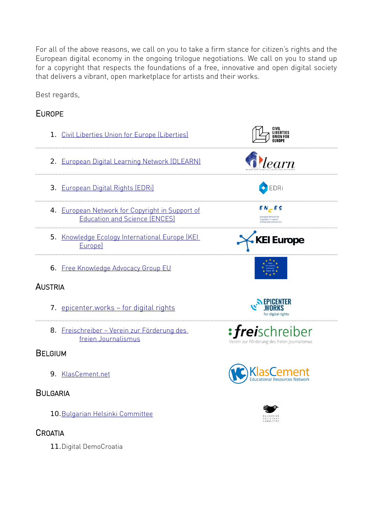For all of the above reasons, we call on you to take a firm stance for citizen's rights and the European digital economy in the ongoing trilogue negotiations. We call on you to stand up for a copyright that respects the foundations of a free, innovative and open digital society that delivers a vibrant, open marketplace for artists and their works.

Best regards,

# EUROPE

| 1. Civil Liberties Union for Europe (Liberties)                                         | CIVIL<br>LIBERTIES<br>Union for                                 |
|-----------------------------------------------------------------------------------------|-----------------------------------------------------------------|
| 2. European Digital Learning Network (DLEARN)                                           | <i>Learn</i>                                                    |
| 3. European Digital Rights (EDRi)                                                       | EDRi                                                            |
| 4. European Network for Copyright in Support of<br><b>Education and Science (ENCES)</b> | $EN_EES$<br>European Network fo<br>Copyright in support         |
| 5. Knowledge Ecology International Europe (KEI<br>Europe)                               | <b>KEI Europe</b>                                               |
| 6. Free Knowledge Advocacy Group EU                                                     |                                                                 |
| <b>AUSTRIA</b>                                                                          |                                                                 |
| 7. epicenter.works - for digital rights                                                 | for digital rights                                              |
| 8. Freischreiber - Verein zur Förderung des<br>freien Journalismus                      | : freischreiber<br>Verein zur Förderung des freien Journalismus |
| <b>BELGIUM</b>                                                                          |                                                                 |
| 9. KlasCement.net                                                                       |                                                                 |
| <b>BULGARIA</b>                                                                         |                                                                 |
| 10. Bulgarian Helsinki Committee                                                        | BULGARIAN<br>HELSINKI<br>COMMITTEE                              |
| CROATIA                                                                                 |                                                                 |
| 11. Digital DemoCroatia                                                                 |                                                                 |
|                                                                                         |                                                                 |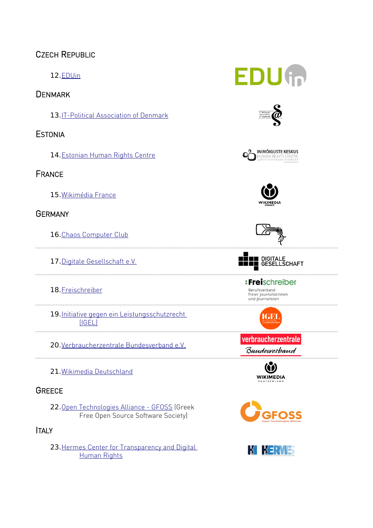## CZECH REPUBLIC

12. [EDUin](http://www.eduin.cz/)

### **DENMARK**

13. [IT-Political Association of Denmark](https://itpol.dk/)

# **ESTONIA**

14. [Estonian Human Rights Centre](https://humanrights.ee/)

## FRANCE

15. [Wikimédia France](https://www.wikimedia.fr/)

### **GERMANY**

16. [Chaos Computer Club](https://www.ccc.de/)

17. [Digitale Gesellschaft e.V.](https://digitalegesellschaft.de/)

18. [Freischreiber](https://www.freischreiber.de/)

19. [Initiative gegen ein Leistungsschutzrecht](http://leistungsschutzrecht.info/)  [\(IGEL\)](http://leistungsschutzrecht.info/)

20. [Verbraucherzentrale Bundesverband e.V.](https://www.vzbv.de/)

21. [Wikimedia Deutschland](https://meta.wikimedia.org/wiki/Wikimedia_Deutschland)

## **GREECE**

22. [Open Technologies Alliance - GFOSS](https://gfoss.eu/) (Greek Free Open Source Software Society)

## **ITALY**

23. Hermes Center for Transparency and Digital [Human Rights](https://www.hermescenter.org/)













:Freischreiber Berufsverband<br>freier Journalistinnen und Journalisten



verbraucherzentrale Bundesverband





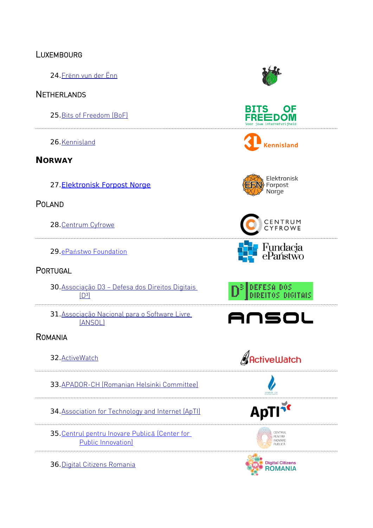### **LUXEMBOURG**

24. [Frënn vun der Ënn](https://enn.lu/)

### **NETHERLANDS**

25. [Bits of Freedom \(BoF\)](https://bof.nl/)

26. [Kennisland](http://www.kl.nl/)

### **NORWAY**

27[. Elektronisk Forpost Norge](https://efn.no/)

POLAND

28. [Centrum Cyfrowe](https://centrumcyfrowe.pl/)

29. ePaństwo Foundation

### **PORTUGAL**

30. [Associação D3 – Defesa dos Direitos Digitais](https://www.direitosdigitais.pt/)   $[D<sup>3</sup>]$ 

31. Associação Nacional para o Software Livre [\(ANSOL\)](https://ansol.org/)

### **ROMANIA**

32. [ActiveWatch](http://www.activewatch.ro/)

33. [APADOR-CH \(Romanian Helsinki Committee\)](http://www.apador.org/)

34. [Association for Technology and Internet \(ApTI\)](https://www.apti.ro/)

35. Centrul pentru Inovare Publică (Center for [Public Innovation\)](http://www.inovarepublica.ro/)

36. [Digital Citizens Romania](http://www.digitalcitizens.net/)























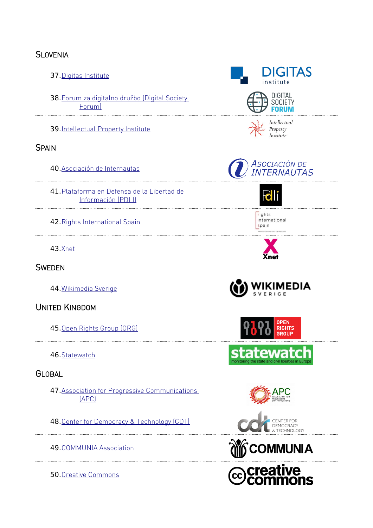### **SLOVENIA**

37. [Digitas Institute](https://digitas.si/)

38. [Forum za digitalno družbo \(Digital Society](https://fdd.si/)  [Forum\)](https://fdd.si/)

39. [Intellectual Property Institute](http://www.ipi.si/)

#### **SPAIN**

40. [Asociación de Internautas](https://www.internautas.org/)

41. [Plataforma en Defensa de la Libertad de](http://libertadinformacion.cc/)  [Información \(PDLI\)](http://libertadinformacion.cc/)

42. [Rights International Spain](http://www.rightsinternationalspain.org/)

43. [Xnet](https://xnet-x.net/)

**SWEDEN** 

44. [Wikimedia Sverige](https://se.wikimedia.org/wiki/Huvudsida)

UNITED KINGDOM

45. [Open Rights Group \(ORG\)](https://www.openrightsgroup.org/)

46. [Statewatch](http://www.statewatch.org/)

### **GLOBAL**

47. [Association for Progressive Communications](https://www.apc.org/)  [\(APC\)](https://www.apc.org/)

48. [Center for Democracy & Technology \(CDT\)](https://cdt.org/)

49. [COMMUNIA Association](https://www.communia-association.org/)

50. [Creative Commons](https://creativecommons.org/)











rights international spain